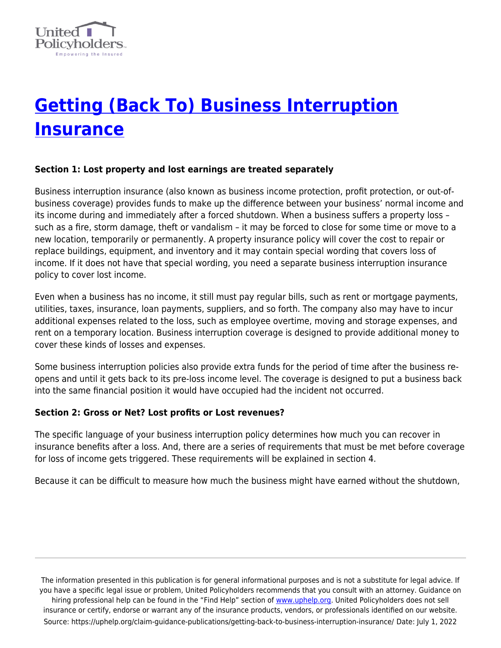

# **[Getting \(Back To\) Business Interruption](https://uphelp.org/claim-guidance-publications/getting-back-to-business-interruption-insurance/) [Insurance](https://uphelp.org/claim-guidance-publications/getting-back-to-business-interruption-insurance/)**

#### **Section 1: Lost property and lost earnings are treated separately**

Business interruption insurance (also known as business income protection, profit protection, or out-ofbusiness coverage) provides funds to make up the difference between your business' normal income and its income during and immediately after a forced shutdown. When a business suffers a property loss – such as a fire, storm damage, theft or vandalism – it may be forced to close for some time or move to a new location, temporarily or permanently. A property insurance policy will cover the cost to repair or replace buildings, equipment, and inventory and it may contain special wording that covers loss of income. If it does not have that special wording, you need a separate business interruption insurance policy to cover lost income.

Even when a business has no income, it still must pay regular bills, such as rent or mortgage payments, utilities, taxes, insurance, loan payments, suppliers, and so forth. The company also may have to incur additional expenses related to the loss, such as employee overtime, moving and storage expenses, and rent on a temporary location. Business interruption coverage is designed to provide additional money to cover these kinds of losses and expenses.

Some business interruption policies also provide extra funds for the period of time after the business reopens and until it gets back to its pre-loss income level. The coverage is designed to put a business back into the same financial position it would have occupied had the incident not occurred.

#### **Section 2: Gross or Net? Lost profits or Lost revenues?**

The specific language of your business interruption policy determines how much you can recover in insurance benefits after a loss. And, there are a series of requirements that must be met before coverage for loss of income gets triggered. These requirements will be explained in section 4.

Because it can be difficult to measure how much the business might have earned without the shutdown,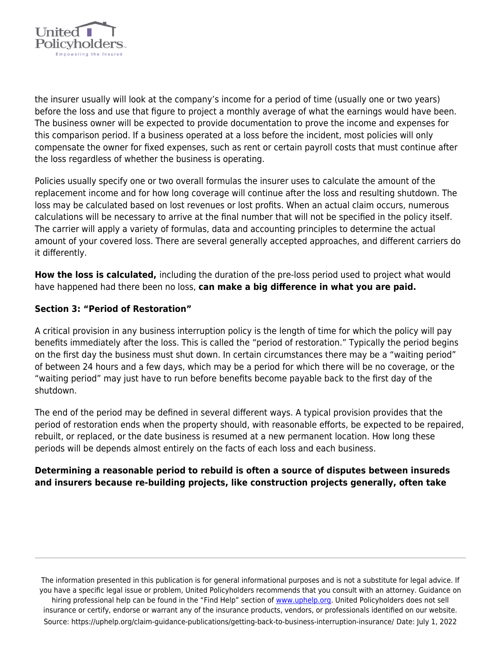

the insurer usually will look at the company's income for a period of time (usually one or two years) before the loss and use that figure to project a monthly average of what the earnings would have been. The business owner will be expected to provide documentation to prove the income and expenses for this comparison period. If a business operated at a loss before the incident, most policies will only compensate the owner for fixed expenses, such as rent or certain payroll costs that must continue after the loss regardless of whether the business is operating.

Policies usually specify one or two overall formulas the insurer uses to calculate the amount of the replacement income and for how long coverage will continue after the loss and resulting shutdown. The loss may be calculated based on lost revenues or lost profits. When an actual claim occurs, numerous calculations will be necessary to arrive at the final number that will not be specified in the policy itself. The carrier will apply a variety of formulas, data and accounting principles to determine the actual amount of your covered loss. There are several generally accepted approaches, and different carriers do it differently.

**How the loss is calculated,** including the duration of the pre-loss period used to project what would have happened had there been no loss, **can make a big difference in what you are paid.**

# **Section 3: "Period of Restoration"**

A critical provision in any business interruption policy is the length of time for which the policy will pay benefits immediately after the loss. This is called the "period of restoration." Typically the period begins on the first day the business must shut down. In certain circumstances there may be a "waiting period" of between 24 hours and a few days, which may be a period for which there will be no coverage, or the "waiting period" may just have to run before benefits become payable back to the first day of the shutdown.

The end of the period may be defined in several different ways. A typical provision provides that the period of restoration ends when the property should, with reasonable efforts, be expected to be repaired, rebuilt, or replaced, or the date business is resumed at a new permanent location. How long these periods will be depends almost entirely on the facts of each loss and each business.

# **Determining a reasonable period to rebuild is often a source of disputes between insureds and insurers because re-building projects, like construction projects generally, often take**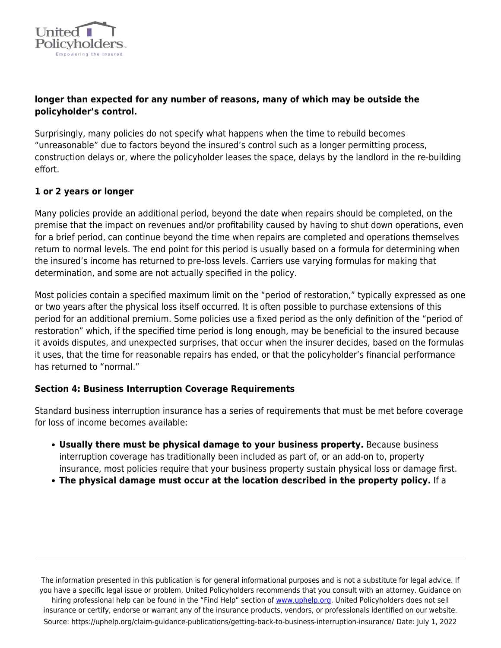

# **longer than expected for any number of reasons, many of which may be outside the policyholder's control.**

Surprisingly, many policies do not specify what happens when the time to rebuild becomes "unreasonable" due to factors beyond the insured's control such as a longer permitting process, construction delays or, where the policyholder leases the space, delays by the landlord in the re-building effort.

# **1 or 2 years or longer**

Many policies provide an additional period, beyond the date when repairs should be completed, on the premise that the impact on revenues and/or profitability caused by having to shut down operations, even for a brief period, can continue beyond the time when repairs are completed and operations themselves return to normal levels. The end point for this period is usually based on a formula for determining when the insured's income has returned to pre-loss levels. Carriers use varying formulas for making that determination, and some are not actually specified in the policy.

Most policies contain a specified maximum limit on the "period of restoration," typically expressed as one or two years after the physical loss itself occurred. It is often possible to purchase extensions of this period for an additional premium. Some policies use a fixed period as the only definition of the "period of restoration" which, if the specified time period is long enough, may be beneficial to the insured because it avoids disputes, and unexpected surprises, that occur when the insurer decides, based on the formulas it uses, that the time for reasonable repairs has ended, or that the policyholder's financial performance has returned to "normal."

#### **Section 4: Business Interruption Coverage Requirements**

Standard business interruption insurance has a series of requirements that must be met before coverage for loss of income becomes available:

- **Usually there must be physical damage to your business property.** Because business interruption coverage has traditionally been included as part of, or an add-on to, property insurance, most policies require that your business property sustain physical loss or damage first.
- **The physical damage must occur at the location described in the property policy.** If a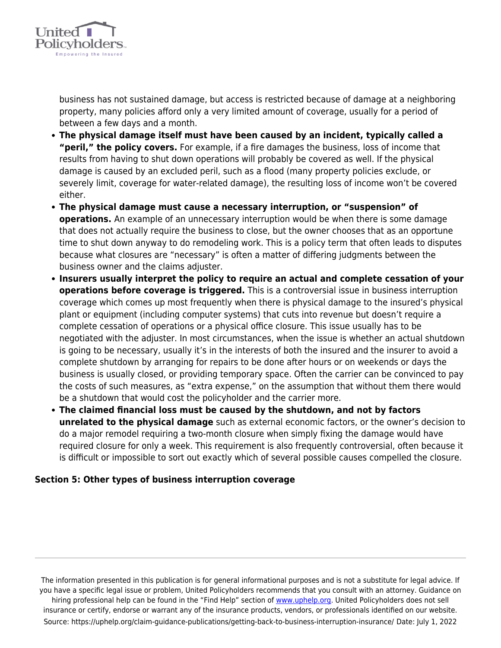

business has not sustained damage, but access is restricted because of damage at a neighboring property, many policies afford only a very limited amount of coverage, usually for a period of between a few days and a month.

- **The physical damage itself must have been caused by an incident, typically called a "peril," the policy covers.** For example, if a fire damages the business, loss of income that results from having to shut down operations will probably be covered as well. If the physical damage is caused by an excluded peril, such as a flood (many property policies exclude, or severely limit, coverage for water-related damage), the resulting loss of income won't be covered either.
- **The physical damage must cause a necessary interruption, or "suspension" of operations.** An example of an unnecessary interruption would be when there is some damage that does not actually require the business to close, but the owner chooses that as an opportune time to shut down anyway to do remodeling work. This is a policy term that often leads to disputes because what closures are "necessary" is often a matter of differing judgments between the business owner and the claims adjuster.
- **Insurers usually interpret the policy to require an actual and complete cessation of your operations before coverage is triggered.** This is a controversial issue in business interruption coverage which comes up most frequently when there is physical damage to the insured's physical plant or equipment (including computer systems) that cuts into revenue but doesn't require a complete cessation of operations or a physical office closure. This issue usually has to be negotiated with the adjuster. In most circumstances, when the issue is whether an actual shutdown is going to be necessary, usually it's in the interests of both the insured and the insurer to avoid a complete shutdown by arranging for repairs to be done after hours or on weekends or days the business is usually closed, or providing temporary space. Often the carrier can be convinced to pay the costs of such measures, as "extra expense," on the assumption that without them there would be a shutdown that would cost the policyholder and the carrier more.
- **The claimed financial loss must be caused by the shutdown, and not by factors unrelated to the physical damage** such as external economic factors, or the owner's decision to do a major remodel requiring a two-month closure when simply fixing the damage would have required closure for only a week. This requirement is also frequently controversial, often because it is difficult or impossible to sort out exactly which of several possible causes compelled the closure.

#### **Section 5: Other types of business interruption coverage**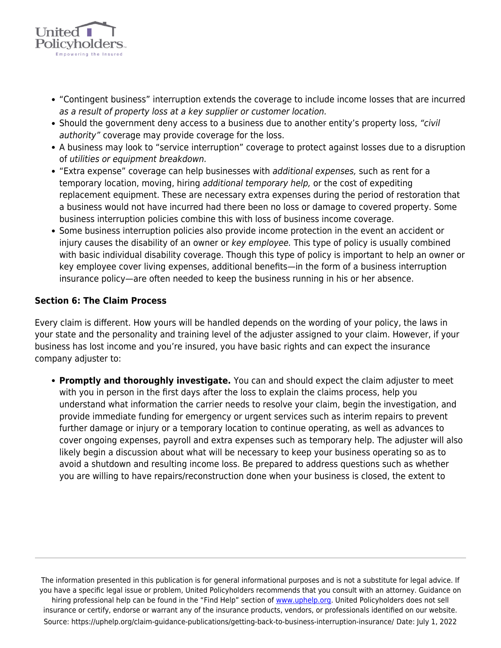

- "Contingent business" interruption extends the coverage to include income losses that are incurred as a result of property loss at a key supplier or customer location.
- Should the government deny access to a business due to another entity's property loss, "civil" authority" coverage may provide coverage for the loss.
- A business may look to "service interruption" coverage to protect against losses due to a disruption of utilities or equipment breakdown.
- "Extra expense" coverage can help businesses with additional expenses, such as rent for a temporary location, moving, hiring additional temporary help, or the cost of expediting replacement equipment. These are necessary extra expenses during the period of restoration that a business would not have incurred had there been no loss or damage to covered property. Some business interruption policies combine this with loss of business income coverage.
- Some business interruption policies also provide income protection in the event an accident or injury causes the disability of an owner or key employee. This type of policy is usually combined with basic individual disability coverage. Though this type of policy is important to help an owner or key employee cover living expenses, additional benefits—in the form of a business interruption insurance policy—are often needed to keep the business running in his or her absence.

#### **Section 6: The Claim Process**

Every claim is different. How yours will be handled depends on the wording of your policy, the laws in your state and the personality and training level of the adjuster assigned to your claim. However, if your business has lost income and you're insured, you have basic rights and can expect the insurance company adjuster to:

**Promptly and thoroughly investigate.** You can and should expect the claim adjuster to meet with you in person in the first days after the loss to explain the claims process, help you understand what information the carrier needs to resolve your claim, begin the investigation, and provide immediate funding for emergency or urgent services such as interim repairs to prevent further damage or injury or a temporary location to continue operating, as well as advances to cover ongoing expenses, payroll and extra expenses such as temporary help. The adjuster will also likely begin a discussion about what will be necessary to keep your business operating so as to avoid a shutdown and resulting income loss. Be prepared to address questions such as whether you are willing to have repairs/reconstruction done when your business is closed, the extent to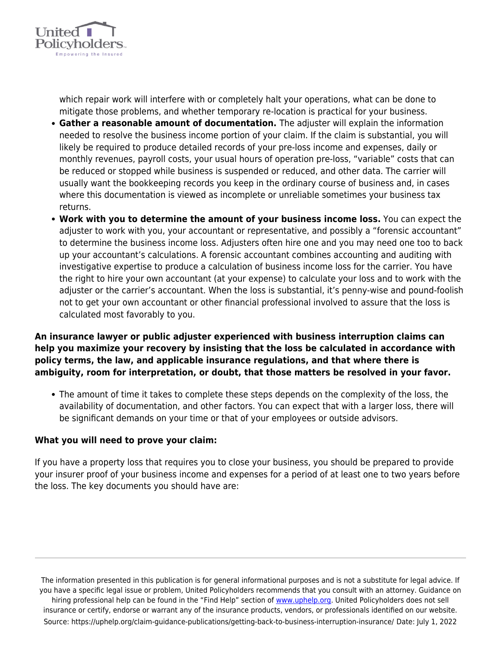

which repair work will interfere with or completely halt your operations, what can be done to mitigate those problems, and whether temporary re-location is practical for your business.

- **Gather a reasonable amount of documentation.** The adjuster will explain the information needed to resolve the business income portion of your claim. If the claim is substantial, you will likely be required to produce detailed records of your pre-loss income and expenses, daily or monthly revenues, payroll costs, your usual hours of operation pre-loss, "variable" costs that can be reduced or stopped while business is suspended or reduced, and other data. The carrier will usually want the bookkeeping records you keep in the ordinary course of business and, in cases where this documentation is viewed as incomplete or unreliable sometimes your business tax returns.
- **Work with you to determine the amount of your business income loss.** You can expect the adjuster to work with you, your accountant or representative, and possibly a "forensic accountant" to determine the business income loss. Adjusters often hire one and you may need one too to back up your accountant's calculations. A forensic accountant combines accounting and auditing with investigative expertise to produce a calculation of business income loss for the carrier. You have the right to hire your own accountant (at your expense) to calculate your loss and to work with the adjuster or the carrier's accountant. When the loss is substantial, it's penny-wise and pound-foolish not to get your own accountant or other financial professional involved to assure that the loss is calculated most favorably to you.

### **An insurance lawyer or public adjuster experienced with business interruption claims can help you maximize your recovery by insisting that the loss be calculated in accordance with policy terms, the law, and applicable insurance regulations, and that where there is ambiguity, room for interpretation, or doubt, that those matters be resolved in your favor.**

• The amount of time it takes to complete these steps depends on the complexity of the loss, the availability of documentation, and other factors. You can expect that with a larger loss, there will be significant demands on your time or that of your employees or outside advisors.

#### **What you will need to prove your claim:**

If you have a property loss that requires you to close your business, you should be prepared to provide your insurer proof of your business income and expenses for a period of at least one to two years before the loss. The key documents you should have are: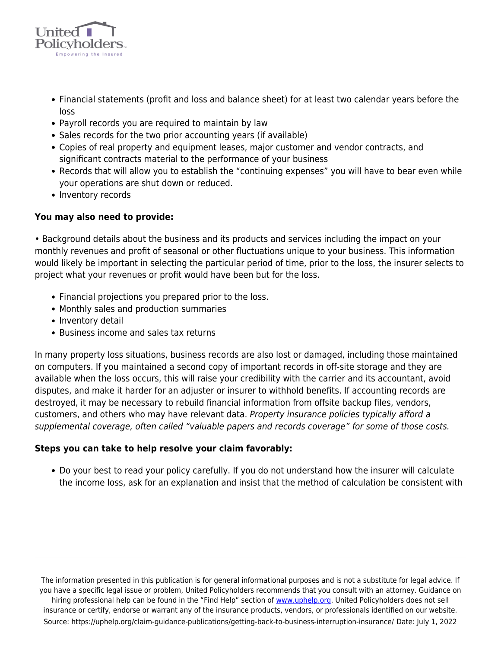

- Financial statements (profit and loss and balance sheet) for at least two calendar years before the loss
- Payroll records you are required to maintain by law
- Sales records for the two prior accounting years (if available)
- Copies of real property and equipment leases, major customer and vendor contracts, and significant contracts material to the performance of your business
- Records that will allow you to establish the "continuing expenses" you will have to bear even while your operations are shut down or reduced.
- Inventory records

#### **You may also need to provide:**

• Background details about the business and its products and services including the impact on your monthly revenues and profit of seasonal or other fluctuations unique to your business. This information would likely be important in selecting the particular period of time, prior to the loss, the insurer selects to project what your revenues or profit would have been but for the loss.

- Financial projections you prepared prior to the loss.
- Monthly sales and production summaries
- Inventory detail
- Business income and sales tax returns

In many property loss situations, business records are also lost or damaged, including those maintained on computers. If you maintained a second copy of important records in off-site storage and they are available when the loss occurs, this will raise your credibility with the carrier and its accountant, avoid disputes, and make it harder for an adjuster or insurer to withhold benefits. If accounting records are destroyed, it may be necessary to rebuild financial information from offsite backup files, vendors, customers, and others who may have relevant data. Property insurance policies typically afford a supplemental coverage, often called "valuable papers and records coverage" for some of those costs.

#### **Steps you can take to help resolve your claim favorably:**

Do your best to read your policy carefully. If you do not understand how the insurer will calculate the income loss, ask for an explanation and insist that the method of calculation be consistent with